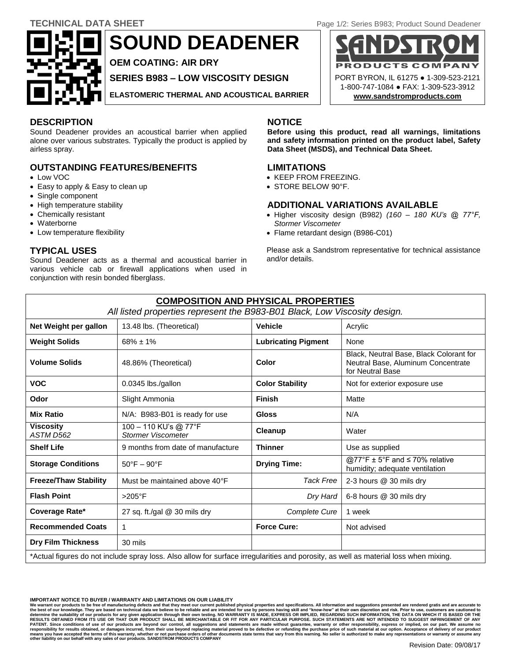**SOUND DEADENER**

**OEM COATING: AIR DRY**

**SERIES B983 – LOW VISCOSITY DESIGN**

**ELASTOMERIC THERMAL AND ACOUSTICAL BARRIER**

# **DESCRIPTION NOTICE**

Sound Deadener provides an acoustical barrier when applied alone over various substrates. Typically the product is applied by airless spray.

# **OUTSTANDING FEATURES/BENEFITS**

- Low VOC
- Easy to apply & Easy to clean up
- Single component
- High temperature stability
- Chemically resistant
- Waterborne
- Low temperature flexibility

# **TYPICAL USES**

Sound Deadener acts as a thermal and acoustical barrier in various vehicle cab or firewall applications when used in conjunction with resin bonded fiberglass.

**Before using this product, read all warnings, limitations and safety information printed on the product label, Safety Data Sheet (MSDS), and Technical Data Sheet.**

### **LIMITATIONS**

- KEEP FROM FREEZING.
- STORE BELOW 90°F.

# **ADDITIONAL VARIATIONS AVAILABLE**

- Higher viscosity design (B982) *(160 – 180 KU's @ 77°F, Stormer Viscometer*
- Flame retardant design (B986-C01)

Please ask a Sandstrom representative for technical assistance and/or details.

| <b>COMPOSITION AND PHYSICAL PROPERTIES</b>                                                                                           |                                                    |                                                                                                            |                               |  |
|--------------------------------------------------------------------------------------------------------------------------------------|----------------------------------------------------|------------------------------------------------------------------------------------------------------------|-------------------------------|--|
| All listed properties represent the B983-B01 Black, Low Viscosity design.                                                            |                                                    |                                                                                                            |                               |  |
| Net Weight per gallon                                                                                                                | 13.48 lbs. (Theoretical)                           | <b>Vehicle</b>                                                                                             | Acrylic                       |  |
| <b>Weight Solids</b>                                                                                                                 | $68\% \pm 1\%$                                     | <b>Lubricating Pigment</b>                                                                                 | None                          |  |
| <b>Volume Solids</b>                                                                                                                 | 48.86% (Theoretical)                               | Black, Neutral Base, Black Colorant for<br>Color<br>Neutral Base, Aluminum Concentrate<br>for Neutral Base |                               |  |
| <b>VOC</b>                                                                                                                           | 0.0345 lbs./gallon                                 | <b>Color Stability</b>                                                                                     | Not for exterior exposure use |  |
| Odor                                                                                                                                 | Slight Ammonia                                     | <b>Finish</b><br>Matte                                                                                     |                               |  |
| <b>Mix Ratio</b>                                                                                                                     | N/A: B983-B01 is ready for use                     | <b>Gloss</b>                                                                                               | N/A                           |  |
| <b>Viscosity</b><br>ASTM D562                                                                                                        | 100 - 110 KU's @ 77°F<br><b>Stormer Viscometer</b> | Cleanup                                                                                                    | Water                         |  |
| <b>Shelf Life</b>                                                                                                                    | 9 months from date of manufacture                  | <b>Thinner</b>                                                                                             | Use as supplied               |  |
| <b>Storage Conditions</b>                                                                                                            | $50^{\circ}$ F - 90 $^{\circ}$ F                   | @77°F $\pm$ 5°F and $\leq$ 70% relative<br><b>Drying Time:</b><br>humidity; adequate ventilation           |                               |  |
| <b>Freeze/Thaw Stability</b>                                                                                                         | Must be maintained above 40°F                      | <b>Tack Free</b>                                                                                           | 2-3 hours @ 30 mils dry       |  |
| <b>Flash Point</b>                                                                                                                   | $>205^{\circ}$ F                                   | Dry Hard                                                                                                   | 6-8 hours @ 30 mils dry       |  |
| Coverage Rate*                                                                                                                       | 27 sq. ft./gal @ 30 mils dry                       | Complete Cure                                                                                              | 1 week                        |  |
| <b>Recommended Coats</b>                                                                                                             | 1                                                  | <b>Force Cure:</b>                                                                                         | Not advised                   |  |
| <b>Dry Film Thickness</b>                                                                                                            | 30 mils                                            |                                                                                                            |                               |  |
| *Actual figures do not include spray loss. Also allow for surface irregularities and porosity, as well as material loss when mixing. |                                                    |                                                                                                            |                               |  |
|                                                                                                                                      |                                                    |                                                                                                            |                               |  |

**IMPORTANT NOTICE TO BUYER / WARRANTY AND LIMITATIONS ON OUR LIABILITY**

We warrant our products to be free of manufacturing defects and that they meet our current published physical properties and specifications. All information and suggestions presented are rendered gratis and are accurate to PATENT. Since conditions of use of our products are beyond our control, all suggestions and statements are made without guarantee, warranty or other responsibility, express or implied, on our part. We assume no responsibil